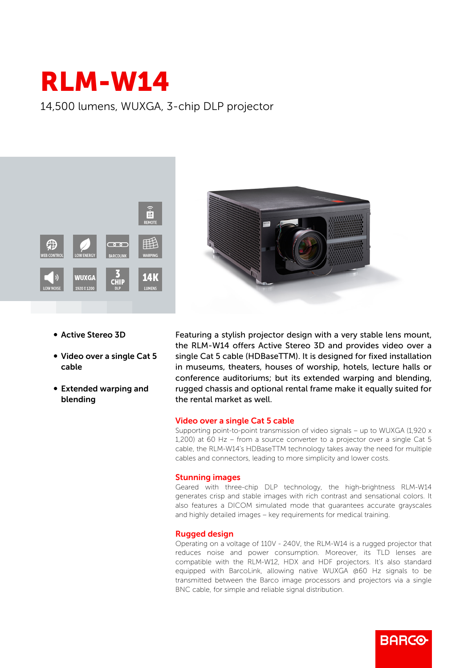

14,500 lumens, WUXGA, 3-chip DLP projector





- b Active Stereo 3D
- Video over a single Cat 5 cable
- Extended warping and blending

Featuring a stylish projector design with a very stable lens mount, the RLM-W14 offers Active Stereo 3D and provides video over a single Cat 5 cable (HDBaseTTM). It is designed for fixed installation in museums, theaters, houses of worship, hotels, lecture halls or conference auditoriums; but its extended warping and blending, rugged chassis and optional rental frame make it equally suited for the rental market as well.

## Video over a single Cat 5 cable

Supporting point-to-point transmission of video signals – up to WUXGA (1,920 x 1,200) at 60 Hz – from a source converter to a projector over a single Cat 5 cable, the RLM-W14's HDBaseTTM technology takes away the need for multiple cables and connectors, leading to more simplicity and lower costs.

## Stunning images

Geared with three-chip DLP technology, the high-brightness RLM-W14 generates crisp and stable images with rich contrast and sensational colors. It also features a DICOM simulated mode that guarantees accurate grayscales and highly detailed images – key requirements for medical training.

## Rugged design

Operating on a voltage of 110V - 240V, the RLM-W14 is a rugged projector that reduces noise and power consumption. Moreover, its TLD lenses are compatible with the RLM-W12, HDX and HDF projectors. It's also standard equipped with BarcoLink, allowing native WUXGA @60 Hz signals to be transmitted between the Barco image processors and projectors via a single BNC cable, for simple and reliable signal distribution.

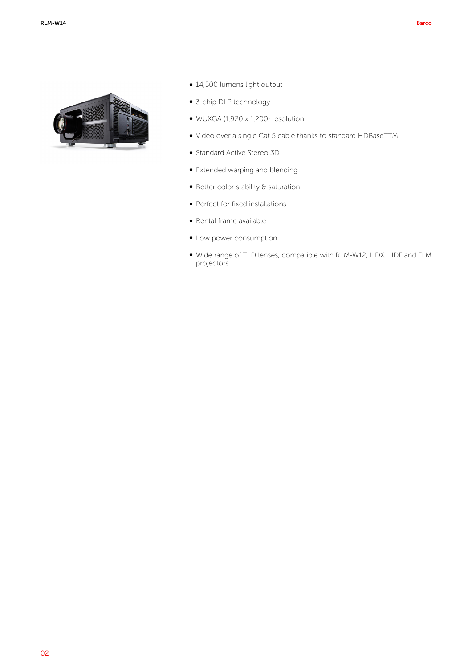

- 14,500 lumens light output
- 3-chip DLP technology
- $\bullet$  WUXGA (1,920 x 1,200) resolution
- b Video over a single Cat 5 cable thanks to standard HDBaseTTM
- **Standard Active Stereo 3D**
- Extended warping and blending
- $\bullet$  Better color stability  $\theta$  saturation
- Perfect for fixed installations
- Rental frame available
- Low power consumption
- b Wide range of TLD lenses, compatible with RLM-W12, HDX, HDF and FLM projectors